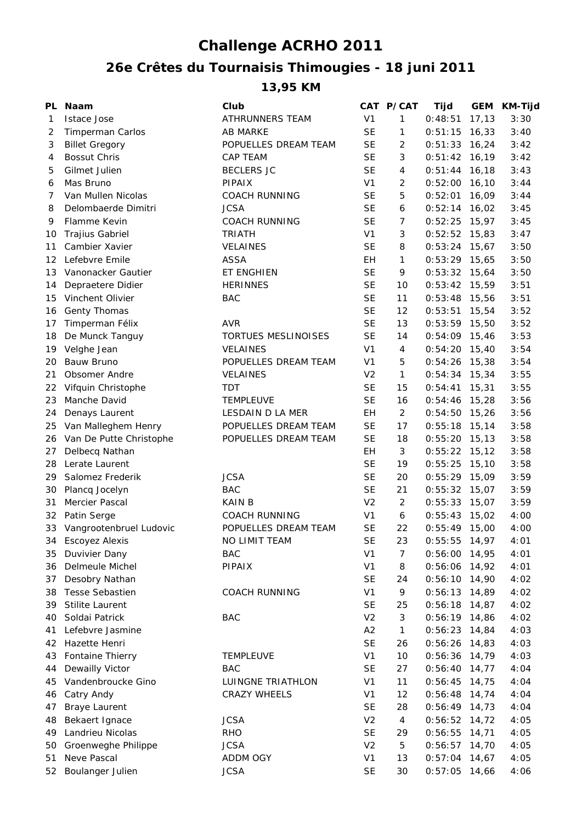## **Challenge ACRHO 2011**

## **26e Crêtes du Tournaisis Thimougies - 18 juni 2011**

**13,95 KM**

| PL | <b>Naam</b>                | Club                       |                | CAT P/CAT      | Tijd            | <b>GEM</b> | KM-Tijd |
|----|----------------------------|----------------------------|----------------|----------------|-----------------|------------|---------|
| 1  | <b>Istace Jose</b>         | ATHRUNNERS TEAM            | V <sub>1</sub> | 1              | 0:48:51         | 17, 13     | 3:30    |
| 2  | Timperman Carlos           | <b>AB MARKE</b>            | <b>SE</b>      | 1              | 0:51:15         | 16,33      | 3:40    |
| 3  | <b>Billet Gregory</b>      | POPUELLES DREAM TEAM       | <b>SE</b>      | 2              | 0:51:33         | 16,24      | 3:42    |
| 4  | <b>Bossut Chris</b>        | <b>CAP TEAM</b>            | <b>SE</b>      | 3              | 0:51:42         | 16,19      | 3:42    |
| 5  | Gilmet Julien              | <b>BECLERS JC</b>          | <b>SE</b>      | 4              | 0:51:44         | 16,18      | 3:43    |
| 6  | Mas Bruno                  | PIPAIX                     | V <sub>1</sub> | $\overline{2}$ | 0:52:00         | 16,10      | 3:44    |
| 7  | Van Mullen Nicolas         | <b>COACH RUNNING</b>       | <b>SE</b>      | 5              | 0:52:01         | 16,09      | 3:44    |
| 8  | Delombaerde Dimitri        | <b>JCSA</b>                | <b>SE</b>      | 6              | 0:52:14         | 16,02      | 3:45    |
| 9  | Flamme Kevin               | <b>COACH RUNNING</b>       | <b>SE</b>      | 7              | 0:52:25         | 15,97      | 3:45    |
| 10 | <b>Trajius Gabriel</b>     | <b>TRIATH</b>              | V <sub>1</sub> | 3              | 0:52:52         | 15,83      | 3:47    |
| 11 | Cambier Xavier             | <b>VELAINES</b>            | <b>SE</b>      | 8              | $0:53:24$ 15,67 |            | 3:50    |
| 12 | Lefebvre Emile             | <b>ASSA</b>                | EH             | $\mathbf{1}$   | $0:53:29$ 15,65 |            | 3:50    |
| 13 | Vanonacker Gautier         | ET ENGHIEN                 | <b>SE</b>      | 9              | $0:53:32$ 15,64 |            | 3:50    |
| 14 | Depraetere Didier          | <b>HERINNES</b>            | <b>SE</b>      | 10             | 0:53:42         | 15,59      | 3:51    |
| 15 | Vinchent Olivier           | <b>BAC</b>                 | <b>SE</b>      | 11             | 0:53:48         | 15,56      | 3:51    |
| 16 | Genty Thomas               |                            | <b>SE</b>      | 12             | 0:53:51         | 15,54      | 3:52    |
| 17 | Timperman Félix            | <b>AVR</b>                 | <b>SE</b>      | 13             | 0:53:59         | 15,50      | 3:52    |
| 18 | De Munck Tanguy            | <b>TORTUES MESLINOISES</b> | <b>SE</b>      | 14             | 0:54:09         | 15,46      | 3:53    |
| 19 | Velghe Jean                | <b>VELAINES</b>            | V <sub>1</sub> | 4              | 0:54:20         | 15,40      | 3:54    |
| 20 | Bauw Bruno                 | POPUELLES DREAM TEAM       | V <sub>1</sub> | 5              | 0:54:26         | 15,38      | 3:54    |
| 21 | Obsomer Andre              | VELAINES                   | V <sub>2</sub> | $\mathbf{1}$   | $0:54:34$ 15,34 |            | 3:55    |
| 22 | Vifquin Christophe         | TDT                        | <b>SE</b>      | 15             | 0:54:41         | 15,31      | 3:55    |
| 23 | Manche David               | <b>TEMPLEUVE</b>           | <b>SE</b>      | 16             | 0:54:46         | 15,28      | 3:56    |
| 24 | Denays Laurent             | LESDAIN D LA MER           | EH             | 2              | 0:54:50         | 15,26      | 3:56    |
| 25 | Van Malleghem Henry        | POPUELLES DREAM TEAM       | <b>SE</b>      | 17             | 0:55:18         | 15,14      | 3:58    |
| 26 | Van De Putte Christophe    | POPUELLES DREAM TEAM       | <b>SE</b>      | 18             | 0:55:20         | 15,13      | 3:58    |
| 27 | Delbecq Nathan             |                            | EН             | 3              | 0:55:22         | 15,12      | 3:58    |
| 28 | Lerate Laurent             |                            | <b>SE</b>      | 19             | 0:55:25         | 15,10      | 3:58    |
| 29 | Salomez Frederik           | <b>JCSA</b>                | <b>SE</b>      | 20             | 0:55:29         | 15,09      | 3:59    |
| 30 | Plancq Jocelyn             | <b>BAC</b>                 | <b>SE</b>      | 21             | 0:55:32         | 15,07      | 3:59    |
| 31 | Mercier Pascal             | <b>KAIN B</b>              | V <sub>2</sub> | 2              | 0:55:33         | 15,07      | 3:59    |
| 32 | Patin Serge                | <b>COACH RUNNING</b>       | V <sub>1</sub> | 6              | 0:55:43         | 15,02      | 4:00    |
|    | 33 Vangrootenbruel Ludovic | POPUELLES DREAM TEAM       | <b>SE</b>      | 22             | $0:55:49$ 15,00 |            | 4:00    |
| 34 | <b>Escoyez Alexis</b>      | NO LIMIT TEAM              | <b>SE</b>      | 23             | $0:55:55$ 14,97 |            | 4:01    |
| 35 | Duvivier Dany              | <b>BAC</b>                 | V <sub>1</sub> | 7              | 0:56:00         | 14,95      | 4:01    |
| 36 | Delmeule Michel            | PIPAIX                     | V <sub>1</sub> | 8              | 0:56:06         | 14,92      | 4:01    |
| 37 | Desobry Nathan             |                            | <b>SE</b>      | 24             | 0:56:10         | 14,90      | 4:02    |
| 38 | <b>Tesse Sebastien</b>     | <b>COACH RUNNING</b>       | V <sub>1</sub> | 9              | 0:56:13         | 14,89      | 4:02    |
| 39 | <b>Stilite Laurent</b>     |                            | <b>SE</b>      | 25             | 0:56:18         | 14,87      | 4:02    |
| 40 | Soldai Patrick             | <b>BAC</b>                 | V <sub>2</sub> | 3              | $0:56:19$ 14,86 |            | 4:02    |
| 41 | Lefebvre Jasmine           |                            | A2             | $\mathbf{1}$   | 0:56:23         | 14,84      | 4:03    |
| 42 | Hazette Henri              |                            | <b>SE</b>      | 26             | 0:56:26         | 14,83      | 4:03    |
| 43 | Fontaine Thierry           | TEMPLEUVE                  | V <sub>1</sub> | 10             | 0:56:36         | 14,79      | 4:03    |
| 44 | Dewailly Victor            | <b>BAC</b>                 | <b>SE</b>      | 27             | 0:56:40         | 14,77      | 4:04    |
| 45 | Vandenbroucke Gino         | LUINGNE TRIATHLON          | V <sub>1</sub> | 11             | 0:56:45         | 14,75      | 4:04    |
| 46 | Catry Andy                 | <b>CRAZY WHEELS</b>        | V <sub>1</sub> | 12             | 0:56:48         | 14,74      | 4:04    |
| 47 | <b>Braye Laurent</b>       |                            | <b>SE</b>      | 28             | 0:56:49         | 14,73      | 4:04    |
| 48 | Bekaert Ignace             | <b>JCSA</b>                | V <sub>2</sub> | 4              | 0:56:52         | 14,72      | 4:05    |
| 49 | Landrieu Nicolas           | <b>RHO</b>                 | <b>SE</b>      | 29             | 0:56:55         | 14,71      | 4:05    |
| 50 | Groenweghe Philippe        | <b>JCSA</b>                | V <sub>2</sub> | 5              | 0:56:57         | 14,70      | 4:05    |
| 51 | Neve Pascal                | ADDM OGY                   | V <sub>1</sub> | 13             | 0:57:04         | 14,67      | 4:05    |
| 52 | Boulanger Julien           | <b>JCSA</b>                | <b>SE</b>      | 30             | $0:57:05$ 14,66 |            | 4:06    |
|    |                            |                            |                |                |                 |            |         |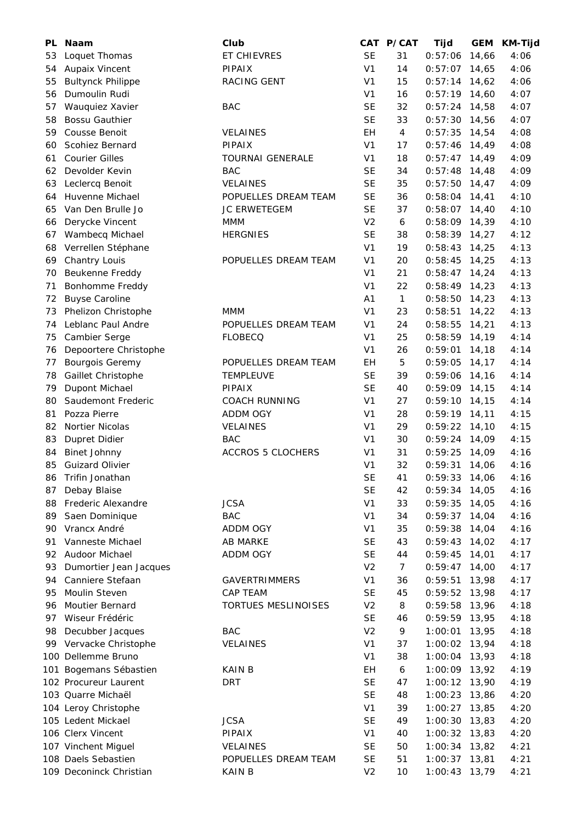| PL  | <b>Naam</b>              | Club                     |                      | CAT P/CAT    | Tijd            | <b>GEM</b> | KM-Tijd |
|-----|--------------------------|--------------------------|----------------------|--------------|-----------------|------------|---------|
| 53  | Loquet Thomas            | ET CHIEVRES              | <b>SE</b>            | 31           | 0:57:06         | 14,66      | 4:06    |
| 54  | Aupaix Vincent           | <b>PIPAIX</b>            | V <sub>1</sub>       | 14           | 0:57:07         | 14,65      | 4:06    |
| 55  | <b>Bultynck Philippe</b> | RACING GENT              | V <sub>1</sub>       | 15           | 0:57:14         | 14,62      | 4:06    |
| 56  | Dumoulin Rudi            |                          | V <sub>1</sub>       | 16           | $0:57:19$ 14,60 |            | 4:07    |
| 57  | Wauquiez Xavier          | <b>BAC</b>               | <b>SE</b>            | 32           | 0:57:24         | 14,58      | 4:07    |
| 58  | <b>Bossu Gauthier</b>    |                          | <b>SE</b>            | 33           | 0:57:30         | 14,56      | 4:07    |
| 59  | Cousse Benoit            | VELAINES                 | EH                   | 4            | 0:57:35         | 14,54      | 4:08    |
| 60  | <b>Scohiez Bernard</b>   | PIPAIX                   | V <sub>1</sub>       | 17           | 0:57:46         | 14,49      | 4:08    |
| 61  | <b>Courier Gilles</b>    | <b>TOURNAI GENERALE</b>  | V <sub>1</sub>       | 18           | 0:57:47         | 14,49      | 4:09    |
| 62  | Devolder Kevin           | <b>BAC</b>               | <b>SE</b>            | 34           | 0:57:48         | 14,48      | 4:09    |
| 63  | Leclercq Benoit          | <b>VELAINES</b>          | <b>SE</b>            | 35           | 0:57:50         | 14,47      | 4:09    |
| 64  | Huvenne Michael          | POPUELLES DREAM TEAM     | <b>SE</b>            | 36           | 0:58:04         | 14,41      | 4:10    |
| 65  | Van Den Brulle Jo        | <b>JC ERWETEGEM</b>      | <b>SE</b>            | 37           | 0:58:07         | 14,40      | 4:10    |
| 66  | Derycke Vincent          | MMM                      | V <sub>2</sub>       | 6            | $0:58:09$ 14,39 |            | 4:10    |
| 67  | Wambecq Michael          | <b>HERGNIES</b>          | <b>SE</b>            | 38           | $0:58:39$ 14,27 |            | 4:12    |
| 68  | Verrellen Stéphane       |                          | V <sub>1</sub>       | 19           | 0:58:43         | 14,25      | 4:13    |
| 69  | Chantry Louis            | POPUELLES DREAM TEAM     | V <sub>1</sub>       | 20           | 0:58:45         | 14,25      | 4:13    |
| 70  | Beukenne Freddy          |                          | V <sub>1</sub>       | 21           | 0:58:47         | 14,24      | 4:13    |
| 71  | Bonhomme Freddy          |                          | V <sub>1</sub>       | 22           | 0:58:49         | 14,23      | 4:13    |
| 72  | <b>Buyse Caroline</b>    |                          | A <sub>1</sub>       | $\mathbf{1}$ | 0:58:50         | 14,23      | 4:13    |
| 73  | Phelizon Christophe      | <b>MMM</b>               | V <sub>1</sub>       | 23           | 0:58:51         | 14,22      | 4:13    |
| 74  | Leblanc Paul Andre       | POPUELLES DREAM TEAM     | V <sub>1</sub>       | 24           | 0:58:55         | 14,21      | 4:13    |
| 75  | Cambier Serge            | <b>FLOBECQ</b>           | V <sub>1</sub>       | 25           | $0:58:59$ 14,19 |            | 4:14    |
| 76  | Depoortere Christophe    |                          | V <sub>1</sub>       | 26           | 0:59:01         | 14,18      | 4:14    |
| 77  | <b>Bourgois Geremy</b>   | POPUELLES DREAM TEAM     | EH                   | 5            | 0:59:05         | 14,17      | 4:14    |
| 78  | Gaillet Christophe       | <b>TEMPLEUVE</b>         | <b>SE</b>            | 39           | 0:59:06         | 14,16      | 4:14    |
| 79  | Dupont Michael           | PIPAIX                   | <b>SE</b>            | 40           | $0:59:09$ 14,15 |            | 4:14    |
| 80  | Saudemont Frederic       | <b>COACH RUNNING</b>     | V <sub>1</sub>       | 27           | 0:59:10         | 14,15      | 4:14    |
| 81  | Pozza Pierre             | ADDM OGY                 | V <sub>1</sub>       | 28           | $0:59:19$ 14,11 |            | 4:15    |
| 82  | Nortier Nicolas          | VELAINES                 | V <sub>1</sub>       | 29           | 0:59:22         | 14,10      | 4:15    |
| 83  | Dupret Didier            | <b>BAC</b>               | V <sub>1</sub>       | 30           | 0:59:24         | 14,09      | 4:15    |
| 84  | <b>Binet Johnny</b>      | <b>ACCROS 5 CLOCHERS</b> | V <sub>1</sub>       | 31           | 0:59:25         | 14,09      | 4:16    |
| 85  | <b>Guizard Olivier</b>   |                          | V <sub>1</sub>       | 32           | $0:59:31$ 14,06 |            | 4:16    |
| 86  | Trifin Jonathan          |                          | $\mathsf{SE}\xspace$ | 41           | $0:59:33$ 14,06 |            | 4:16    |
| 87  | Debay Blaise             |                          | <b>SE</b>            | 42           | 0:59:34         | 14,05      | 4:16    |
| 88  | Frederic Alexandre       | <b>JCSA</b>              | V <sub>1</sub>       | 33           | 0:59:35         | 14,05      | 4:16    |
| 89  | Saen Dominique           | <b>BAC</b>               | V <sub>1</sub>       | 34           | 0:59:37         | 14,04      | 4:16    |
| 90  | Vrancx André             | ADDM OGY                 | V <sub>1</sub>       | 35           | 0:59:38         | 14,04      | 4:16    |
| 91  | Vanneste Michael         | <b>AB MARKE</b>          | <b>SE</b>            | 43           | 0:59:43         | 14,02      | 4:17    |
| 92  | Audoor Michael           | ADDM OGY                 | <b>SE</b>            | 44           | 0:59:45         | 14,01      | 4:17    |
| 93  | Dumortier Jean Jacques   |                          | V <sub>2</sub>       | 7            | 0:59:47         | 14,00      | 4:17    |
| 94  | Canniere Stefaan         | <b>GAVERTRIMMERS</b>     | V <sub>1</sub>       | 36           | 0:59:51         | 13,98      | 4:17    |
| 95  | Moulin Steven            | CAP TEAM                 | <b>SE</b>            | 45           | 0:59:52         | 13,98      | 4:17    |
| 96  | <b>Moutier Bernard</b>   | TORTUES MESLINOISES      | V <sub>2</sub>       | 8            | 0:59:58         | 13,96      | 4:18    |
| 97  | Wiseur Frédéric          |                          | <b>SE</b>            | 46           | $0:59:59$ 13,95 |            | 4:18    |
| 98  | Decubber Jacques         | <b>BAC</b>               | V <sub>2</sub>       | 9            | 1:00:01         | 13,95      | 4:18    |
| 99  | Vervacke Christophe      | <b>VELAINES</b>          | V <sub>1</sub>       | 37           | 1:00:02         | 13,94      | 4:18    |
|     | 100 Dellemme Bruno       |                          | V <sub>1</sub>       | 38           | 1:00:04         | 13,93      | 4:18    |
| 101 | Bogemans Sébastien       | <b>KAIN B</b>            | EH                   | 6            | 1:00:09         | 13,92      | 4:19    |
|     | 102 Procureur Laurent    | <b>DRT</b>               | <b>SE</b>            | 47           | 1:00:12         | 13,90      | 4:19    |
|     | 103 Quarre Michaël       |                          | <b>SE</b>            | 48           | 1:00:23         | 13,86      | 4:20    |
|     | 104 Leroy Christophe     |                          | V <sub>1</sub>       | 39           | 1:00:27         | 13,85      | 4:20    |
|     | 105 Ledent Mickael       | <b>JCSA</b>              | <b>SE</b>            | 49           | 1:00:30         | 13,83      | 4:20    |
|     | 106 Clerx Vincent        | <b>PIPAIX</b>            | V <sub>1</sub>       | 40           | 1:00:32         | 13,83      | 4:20    |
|     | 107 Vinchent Miguel      | <b>VELAINES</b>          | <b>SE</b>            | 50           | 1:00:34         | 13,82      | 4:21    |
|     | 108 Daels Sebastien      | POPUELLES DREAM TEAM     | <b>SE</b>            | 51           | 1:00:37         | 13,81      | 4:21    |
|     | 109 Deconinck Christian  | <b>KAIN B</b>            | V <sub>2</sub>       | 10           | 1:00:43         | 13,79      | 4:21    |
|     |                          |                          |                      |              |                 |            |         |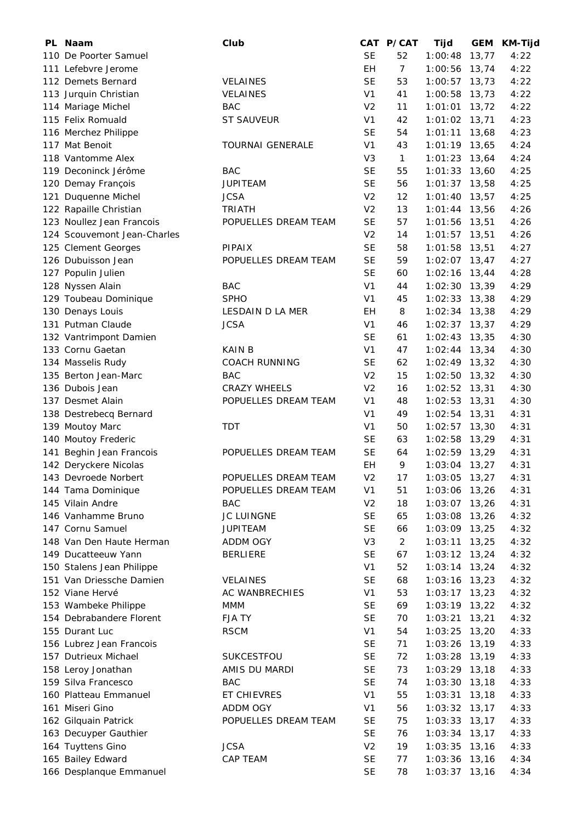| PL Naam                     | Club                    |                | CAT P/CAT      | Tijd            |       | GEM KM-Tijd |
|-----------------------------|-------------------------|----------------|----------------|-----------------|-------|-------------|
| 110 De Poorter Samuel       |                         | <b>SE</b>      | 52             | 1:00:48         | 13,77 | 4:22        |
| 111 Lefebvre Jerome         |                         | <b>EH</b>      | $\overline{7}$ | 1:00:56         | 13,74 | 4:22        |
| 112 Demets Bernard          | <b>VELAINES</b>         | <b>SE</b>      | 53             | 1:00:57         | 13,73 | 4:22        |
| 113 Jurquin Christian       | <b>VELAINES</b>         | V <sub>1</sub> | 41             | 1:00:58         | 13,73 | 4:22        |
| 114 Mariage Michel          | <b>BAC</b>              | V <sub>2</sub> | 11             | 1:01:01         | 13,72 | 4:22        |
| 115 Felix Romuald           | <b>ST SAUVEUR</b>       | V <sub>1</sub> | 42             | $1:01:02$ 13,71 |       | 4:23        |
| 116 Merchez Philippe        |                         | <b>SE</b>      | 54             | 1:01:11         | 13,68 | 4:23        |
| 117 Mat Benoit              | <b>TOURNAI GENERALE</b> | V <sub>1</sub> | 43             | $1:01:19$ 13,65 |       | 4:24        |
| 118 Vantomme Alex           |                         | V <sub>3</sub> | $\mathbf{1}$   | $1:01:23$ 13,64 |       | 4:24        |
| 119 Deconinck Jérôme        | <b>BAC</b>              | <b>SE</b>      | 55             | $1:01:33$ 13,60 |       | 4:25        |
| 120 Demay François          | <b>JUPITEAM</b>         | <b>SE</b>      | 56             | $1:01:37$ 13,58 |       | 4:25        |
| 121 Duquenne Michel         | <b>JCSA</b>             | V <sub>2</sub> | 12             | $1:01:40$ 13,57 |       | 4:25        |
| 122 Rapaille Christian      | <b>TRIATH</b>           | V <sub>2</sub> | 13             | $1:01:44$ 13,56 |       | 4:26        |
| 123 Noullez Jean Francois   | POPUELLES DREAM TEAM    | <b>SE</b>      | 57             | $1:01:56$ 13,51 |       | 4:26        |
| 124 Scouvemont Jean-Charles |                         | V <sub>2</sub> | 14             | $1:01:57$ 13,51 |       | 4:26        |
| 125 Clement Georges         | <b>PIPAIX</b>           | <b>SE</b>      | 58             | $1:01:58$ 13,51 |       | 4:27        |
| 126 Dubuisson Jean          | POPUELLES DREAM TEAM    | <b>SE</b>      | 59             | $1:02:07$ 13,47 |       | 4:27        |
| 127 Populin Julien          |                         | <b>SE</b>      | 60             | $1:02:16$ 13,44 |       | 4:28        |
| 128 Nyssen Alain            | <b>BAC</b>              | V <sub>1</sub> | 44             | $1:02:30$ 13,39 |       | 4:29        |
| 129 Toubeau Dominique       | <b>SPHO</b>             | V <sub>1</sub> | 45             | $1:02:33$ 13,38 |       | 4:29        |
| 130 Denays Louis            | LESDAIN D LA MER        | <b>EH</b>      | 8              | $1:02:34$ 13,38 |       | 4:29        |
| 131 Putman Claude           | <b>JCSA</b>             | V <sub>1</sub> | 46             | $1:02:37$ 13,37 |       | 4:29        |
| 132 Vantrimpont Damien      |                         | <b>SE</b>      | 61             | $1:02:43$ 13,35 |       | 4:30        |
| 133 Cornu Gaetan            | <b>KAIN B</b>           | V <sub>1</sub> | 47             | $1:02:44$ 13,34 |       | 4:30        |
| 134 Masselis Rudy           | <b>COACH RUNNING</b>    | <b>SE</b>      | 62             | $1:02:49$ 13,32 |       | 4:30        |
| 135 Berton Jean-Marc        | <b>BAC</b>              | V <sub>2</sub> | 15             | 1:02:50         | 13,32 | 4:30        |
| 136 Dubois Jean             | <b>CRAZY WHEELS</b>     | V <sub>2</sub> | 16             | $1:02:52$ 13,31 |       | 4:30        |
| 137 Desmet Alain            | POPUELLES DREAM TEAM    | V <sub>1</sub> | 48             | $1:02:53$ 13,31 |       | 4:30        |
| 138 Destrebecq Bernard      |                         | V1             | 49             | 1:02:54         | 13,31 | 4:31        |
| 139 Moutoy Marc             | <b>TDT</b>              | V <sub>1</sub> | 50             | 1:02:57         | 13,30 | 4:31        |
| 140 Moutoy Frederic         |                         | <b>SE</b>      | 63             | 1:02:58         | 13,29 | 4:31        |
| 141 Beghin Jean Francois    | POPUELLES DREAM TEAM    | <b>SE</b>      | 64             | $1:02:59$ 13,29 |       | 4:31        |
| 142 Deryckere Nicolas       |                         | EH             | 9              | $1:03:04$ 13,27 |       | 4:31        |
| 143 Devroede Norbert        | POPUELLES DREAM TEAM    | V <sub>2</sub> | 17             | 1:03:05 13,27   |       | 4:31        |
| 144 Tama Dominique          | POPUELLES DREAM TEAM    | V <sub>1</sub> | 51             | 1:03:06         | 13,26 | 4:31        |
| 145 Vilain Andre            | <b>BAC</b>              | V <sub>2</sub> | 18             | 1:03:07         | 13,26 | 4:31        |
| 146 Vanhamme Bruno          | JC LUINGNE              | <b>SE</b>      | 65             | 1:03:08         | 13,26 | 4:32        |
| 147 Cornu Samuel            | <b>JUPITEAM</b>         | <b>SE</b>      | 66             | 1:03:09         | 13,25 | 4:32        |
| 148 Van Den Haute Herman    | ADDM OGY                | V <sub>3</sub> | $\overline{2}$ | 1:03:11         | 13,25 | 4:32        |
| 149 Ducatteeuw Yann         | <b>BERLIERE</b>         | <b>SE</b>      | 67             | $1:03:12$ 13,24 |       | 4:32        |
| 150 Stalens Jean Philippe   |                         | V <sub>1</sub> | 52             | $1:03:14$ 13,24 |       | 4:32        |
| 151 Van Driessche Damien    | <b>VELAINES</b>         | <b>SE</b>      | 68             | $1:03:16$ 13,23 |       | 4:32        |
| 152 Viane Hervé             | AC WANBRECHIES          | V <sub>1</sub> | 53             | $1:03:17$ 13,23 |       | 4:32        |
| 153 Wambeke Philippe        | MMM                     | <b>SE</b>      | 69             | 1:03:19         | 13,22 | 4:32        |
| 154 Debrabandere Florent    | <b>FJATY</b>            | <b>SE</b>      | 70             | 1:03:21         | 13,21 | 4:32        |
| 155 Durant Luc              | <b>RSCM</b>             | V <sub>1</sub> | 54             | 1:03:25         | 13,20 | 4:33        |
| 156 Lubrez Jean Francois    |                         | <b>SE</b>      | 71             | 1:03:26         | 13,19 | 4:33        |
| 157 Dutrieux Michael        | SUKCESTFOU              | <b>SE</b>      | 72             | 1:03:28         | 13,19 | 4:33        |
| 158 Leroy Jonathan          | AMIS DU MARDI           | <b>SE</b>      | 73             | 1:03:29         | 13,18 | 4:33        |
| 159 Silva Francesco         | <b>BAC</b>              | <b>SE</b>      | 74             | 1:03:30         | 13,18 | 4:33        |
| 160 Platteau Emmanuel       | ET CHIEVRES             | V <sub>1</sub> | 55             | 1:03:31         | 13,18 | 4:33        |
| 161 Miseri Gino             | ADDM OGY                | V <sub>1</sub> | 56             | 1:03:32         | 13,17 | 4:33        |
| 162 Gilquain Patrick        | POPUELLES DREAM TEAM    | <b>SE</b>      | 75             | 1:03:33         | 13,17 | 4:33        |
| 163 Decuyper Gauthier       |                         | <b>SE</b>      | 76             | 1:03:34         | 13,17 | 4:33        |
| 164 Tuyttens Gino           | <b>JCSA</b>             | V <sub>2</sub> | 19             | 1:03:35         | 13,16 | 4:33        |
| 165 Bailey Edward           | CAP TEAM                | <b>SE</b>      | 77             | 1:03:36         | 13,16 | 4:34        |
| 166 Desplanque Emmanuel     |                         | <b>SE</b>      | 78             | 1:03:37         | 13,16 | 4:34        |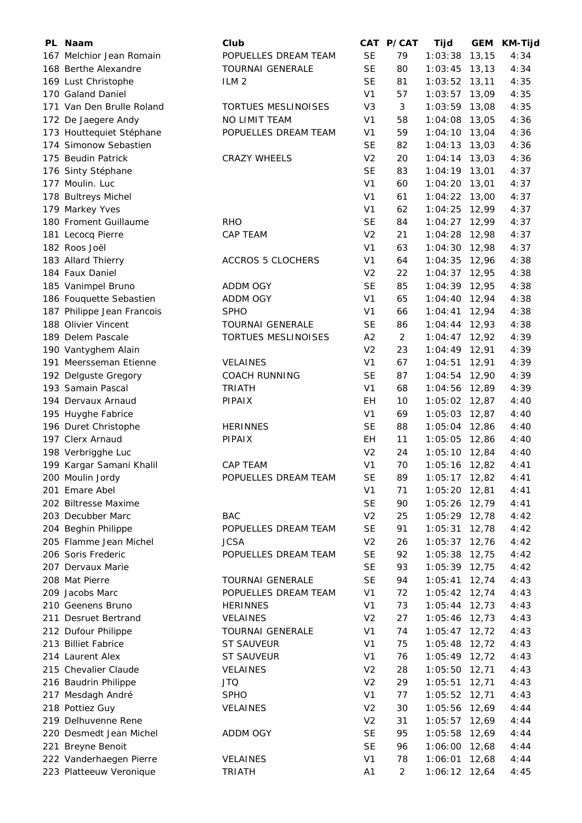| PL Naam                    | Club                       |                | CAT P/CAT      | Tijd            | <b>GEM</b> | <b>KM-Tijd</b> |
|----------------------------|----------------------------|----------------|----------------|-----------------|------------|----------------|
| 167 Melchior Jean Romain   | POPUELLES DREAM TEAM       | <b>SE</b>      | 79             | 1:03:38         | 13, 15     | 4:34           |
| 168 Berthe Alexandre       | <b>TOURNAI GENERALE</b>    | <b>SE</b>      | 80             | 1:03:45         | 13, 13     | 4:34           |
| 169 Lust Christophe        | ILM <sub>2</sub>           | <b>SE</b>      | 81             | 1:03:52         | 13,11      | 4:35           |
| 170 Galand Daniel          |                            | V <sub>1</sub> | 57             | 1:03:57         | 13,09      | 4:35           |
| 171 Van Den Brulle Roland  | <b>TORTUES MESLINOISES</b> | V <sub>3</sub> | 3              | 1:03:59         | 13,08      | 4:35           |
| 172 De Jaegere Andy        | NO LIMIT TEAM              | V <sub>1</sub> | 58             | 1:04:08         | 13,05      | 4:36           |
| 173 Houttequiet Stéphane   | POPUELLES DREAM TEAM       | V <sub>1</sub> | 59             | 1:04:10         | 13,04      | 4:36           |
| 174 Simonow Sebastien      |                            | <b>SE</b>      | 82             | 1:04:13         | 13,03      | 4:36           |
| 175 Beudin Patrick         | <b>CRAZY WHEELS</b>        | V <sub>2</sub> | 20             | $1:04:14$ 13,03 |            | 4:36           |
| 176 Sinty Stéphane         |                            | <b>SE</b>      | 83             | $1:04:19$ 13,01 |            | 4:37           |
| 177 Moulin. Luc            |                            | V <sub>1</sub> | 60             | 1:04:20         | 13,01      | 4:37           |
| 178 Bultreys Michel        |                            | V <sub>1</sub> | 61             | 1:04:22         | 13,00      | 4:37           |
| 179 Markey Yves            |                            | V <sub>1</sub> | 62             | 1:04:25         | 12,99      | 4:37           |
| 180 Froment Guillaume      | <b>RHO</b>                 | <b>SE</b>      | 84             | 1:04:27         | 12,99      | 4:37           |
| 181 Lecocq Pierre          | CAP TEAM                   | V <sub>2</sub> | 21             | 1:04:28         | 12,98      | 4:37           |
| 182 Roos Joël              |                            | V <sub>1</sub> | 63             | 1:04:30         | 12,98      | 4:37           |
| 183 Allard Thierry         | <b>ACCROS 5 CLOCHERS</b>   | V <sub>1</sub> | 64             | 1:04:35         | 12,96      | 4:38           |
| 184 Faux Daniel            |                            | V <sub>2</sub> | 22             | 1:04:37         | 12,95      | 4:38           |
| 185 Vanimpel Bruno         | ADDM OGY                   | <b>SE</b>      | 85             | 1:04:39         | 12,95      | 4:38           |
| 186 Fouquette Sebastien    | ADDM OGY                   | V <sub>1</sub> | 65             | 1:04:40         | 12,94      | 4:38           |
| 187 Philippe Jean Francois | <b>SPHO</b>                | V <sub>1</sub> | 66             | 1:04:41         | 12,94      | 4:38           |
| 188 Olivier Vincent        | <b>TOURNAI GENERALE</b>    | <b>SE</b>      | 86             | 1:04:44         | 12,93      | 4:38           |
| 189 Delem Pascale          | TORTUES MESLINOISES        | A2             | $\overline{2}$ | 1:04:47         | 12,92      | 4:39           |
| 190 Vantyghem Alain        |                            | V <sub>2</sub> | 23             | 1:04:49         | 12,91      | 4:39           |
| 191 Meersseman Etienne     | <b>VELAINES</b>            | V <sub>1</sub> | 67             | 1:04:51         | 12,91      | 4:39           |
| 192 Delguste Gregory       | <b>COACH RUNNING</b>       | <b>SE</b>      | 87             | 1:04:54         | 12,90      | 4:39           |
| 193 Samain Pascal          | <b>TRIATH</b>              | V <sub>1</sub> | 68             | 1:04:56         | 12,89      | 4:39           |
| 194 Dervaux Arnaud         | <b>PIPAIX</b>              | EН             | 10             | 1:05:02         | 12,87      | 4:40           |
| 195 Huyghe Fabrice         |                            | V <sub>1</sub> | 69             | 1:05:03         | 12,87      | 4:40           |
| 196 Duret Christophe       | <b>HERINNES</b>            | <b>SE</b>      | 88             | 1:05:04         | 12,86      | 4:40           |
| 197 Clerx Arnaud           | <b>PIPAIX</b>              | EH             | 11             | 1:05:05         | 12,86      | 4:40           |
| 198 Verbrigghe Luc         |                            | V <sub>2</sub> | 24             | $1:05:10$ 12,84 |            | 4:40           |
| 199 Kargar Samani Khalil   | CAP TEAM                   | V <sub>1</sub> | 70             | 1:05:16 12,82   |            | 4:41           |
| 200 Moulin Jordy           | POPUELLES DREAM TEAM       | SE             | 89             | 1:05:17 12,82   |            | 4:41           |
| 201 Emare Abel             |                            | V <sub>1</sub> | 71             | 1:05:20         | 12,81      | 4:41           |
| 202 Biltresse Maxime       |                            | <b>SE</b>      | 90             | 1:05:26         | 12,79      | 4:41           |
| 203 Decubber Marc          | <b>BAC</b>                 | V <sub>2</sub> | 25             | $1:05:29$ 12,78 |            | 4:42           |
| 204 Beghin Philippe        | POPUELLES DREAM TEAM       | <b>SE</b>      | 91             | 1:05:31         | 12,78      | 4:42           |
| 205 Flamme Jean Michel     | <b>JCSA</b>                | V <sub>2</sub> | 26             | 1:05:37         | 12,76      | 4:42           |
| 206 Soris Frederic         | POPUELLES DREAM TEAM       | <b>SE</b>      | 92             | 1:05:38         | 12,75      | 4:42           |
| 207 Dervaux Marie          |                            | <b>SE</b>      | 93             | 1:05:39         | 12,75      | 4:42           |
| 208 Mat Pierre             | <b>TOURNAI GENERALE</b>    | <b>SE</b>      | 94             | 1:05:41         | 12,74      | 4:43           |
| 209 Jacobs Marc            | POPUELLES DREAM TEAM       | V <sub>1</sub> | 72             | 1:05:42         | 12,74      | 4:43           |
| 210 Geenens Bruno          | <b>HERINNES</b>            | V <sub>1</sub> | 73             | 1:05:44         | 12,73      | 4:43           |
| 211 Desruet Bertrand       | <b>VELAINES</b>            | V <sub>2</sub> | 27             | 1:05:46         | 12,73      | 4:43           |
| 212 Dufour Philippe        | <b>TOURNAI GENERALE</b>    | V <sub>1</sub> | 74             | 1:05:47         | 12,72      | 4:43           |
| 213 Billiet Fabrice        | <b>ST SAUVEUR</b>          | V <sub>1</sub> | 75             | 1:05:48         | 12,72      | 4:43           |
| 214 Laurent Alex           | <b>ST SAUVEUR</b>          | V <sub>1</sub> | 76             | $1:05:49$ 12,72 |            | 4:43           |
| 215 Chevalier Claude       | VELAINES                   | V <sub>2</sub> | 28             | 1:05:50         | 12,71      | 4:43           |
| 216 Baudrin Philippe       | <b>JTQ</b>                 | V <sub>2</sub> | 29             | 1:05:51         | 12,71      | 4:43           |
| 217 Mesdagh André          | <b>SPHO</b>                | V <sub>1</sub> | 77             | 1:05:52         | 12,71      | 4:43           |
| 218 Pottiez Guy            | <b>VELAINES</b>            | V <sub>2</sub> | 30             | 1:05:56         | 12,69      | 4:44           |
| 219 Delhuvenne Rene        |                            | V <sub>2</sub> | 31             | 1:05:57 12,69   |            | 4:44           |
| 220 Desmedt Jean Michel    | ADDM OGY                   | <b>SE</b>      | 95             | 1:05:58         | 12,69      | 4:44           |
| 221 Breyne Benoit          |                            | <b>SE</b>      | 96             | 1:06:00         | 12,68      | 4:44           |
| 222 Vanderhaegen Pierre    | VELAINES                   | V <sub>1</sub> | 78             | 1:06:01         | 12,68      | 4:44           |
| 223 Platteeuw Veronique    | <b>TRIATH</b>              | A1             | $\overline{a}$ | 1:06:12 12,64   |            | 4:45           |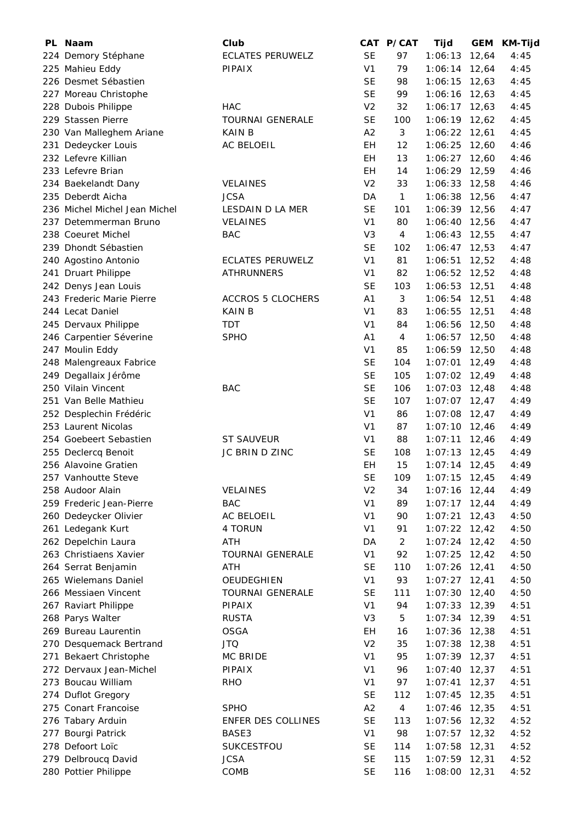|     | PL Naam                                        | Club                     |                | CAT P/CAT      | Tijd            |       | GEM KM-Tijd |
|-----|------------------------------------------------|--------------------------|----------------|----------------|-----------------|-------|-------------|
|     | 224 Demory Stéphane                            | <b>ECLATES PERUWELZ</b>  | <b>SE</b>      | 97             | 1:06:13         | 12,64 | 4:45        |
|     | 225 Mahieu Eddy                                | <b>PIPAIX</b>            | V <sub>1</sub> | 79             | $1:06:14$ 12,64 |       | 4:45        |
|     | 226 Desmet Sébastien                           |                          | <b>SE</b>      | 98             | 1:06:15         | 12,63 | 4:45        |
|     | 227 Moreau Christophe                          |                          | <b>SE</b>      | 99             | $1:06:16$ 12,63 |       | 4:45        |
|     | 228 Dubois Philippe                            | <b>HAC</b>               | V <sub>2</sub> | 32             | $1:06:17$ 12,63 |       | 4:45        |
|     | 229 Stassen Pierre                             | <b>TOURNAI GENERALE</b>  | <b>SE</b>      | 100            | $1:06:19$ 12,62 |       | 4:45        |
|     | 230 Van Malleghem Ariane                       | <b>KAIN B</b>            | A2             | 3              | 1:06:22         | 12,61 | 4:45        |
|     | 231 Dedeycker Louis                            | AC BELOEIL               | EH             | 12             | 1:06:25         | 12,60 | 4:46        |
|     | 232 Lefevre Killian                            |                          | EH             | 13             | 1:06:27         | 12,60 | 4:46        |
|     | 233 Lefevre Brian                              |                          | EH             | 14             | 1:06:29 12,59   |       | 4:46        |
|     | 234 Baekelandt Dany                            | <b>VELAINES</b>          | V <sub>2</sub> | 33             | 1:06:33         | 12,58 | 4:46        |
|     | 235 Deberdt Aicha                              | <b>JCSA</b>              | DA             | $\mathbf{1}$   | 1:06:38         | 12,56 | 4:47        |
|     | 236 Michel Michel Jean Michel                  | LESDAIN D LA MER         | <b>SE</b>      | 101            | 1:06:39 12,56   |       | 4:47        |
|     | 237 Detemmerman Bruno                          | <b>VELAINES</b>          | V <sub>1</sub> | 80             | 1:06:40         | 12,56 | 4:47        |
|     | 238 Coeuret Michel                             | <b>BAC</b>               | V <sub>3</sub> | 4              | $1:06:43$ 12,55 |       | 4:47        |
|     | 239 Dhondt Sébastien                           |                          | <b>SE</b>      | 102            | $1:06:47$ 12,53 |       | 4:47        |
|     | 240 Agostino Antonio                           | ECLATES PERUWELZ         | V <sub>1</sub> | 81             | 1:06:51         | 12,52 | 4:48        |
|     | 241 Druart Philippe                            | <b>ATHRUNNERS</b>        | V <sub>1</sub> | 82             | 1:06:52         | 12,52 | 4:48        |
|     | 242 Denys Jean Louis                           |                          | <b>SE</b>      | 103            | 1:06:53         | 12,51 | 4:48        |
|     | 243 Frederic Marie Pierre                      | <b>ACCROS 5 CLOCHERS</b> | A <sub>1</sub> | 3              | 1:06:54         | 12,51 | 4:48        |
|     | 244 Lecat Daniel                               | <b>KAIN B</b>            | V <sub>1</sub> | 83             | 1:06:55         | 12,51 | 4:48        |
|     | 245 Dervaux Philippe                           | TDT                      | V <sub>1</sub> | 84             | 1:06:56         | 12,50 | 4:48        |
|     | 246 Carpentier Séverine                        | <b>SPHO</b>              | A <sub>1</sub> | 4              | 1:06:57         | 12,50 | 4:48        |
|     | 247 Moulin Eddy                                |                          | V <sub>1</sub> | 85             | 1:06:59 12,50   |       | 4:48        |
|     | 248 Malengreaux Fabrice                        |                          | <b>SE</b>      | 104            | 1:07:01         | 12,49 | 4:48        |
|     | 249 Degallaix Jérôme                           |                          | <b>SE</b>      | 105            | 1:07:02         | 12,49 | 4:48        |
|     | 250 Vilain Vincent                             | <b>BAC</b>               | <b>SE</b>      | 106            | $1:07:03$ 12,48 |       | 4:48        |
|     | 251 Van Belle Mathieu                          |                          | <b>SE</b>      | 107            | $1:07:07$ 12,47 |       | 4:49        |
|     |                                                |                          | V <sub>1</sub> | 86             | 1:07:08         | 12,47 | 4:49        |
|     | 252 Desplechin Frédéric<br>253 Laurent Nicolas |                          | V <sub>1</sub> | 87             |                 |       | 4:49        |
|     | 254 Goebeert Sebastien                         | <b>ST SAUVEUR</b>        | V <sub>1</sub> | 88             | 1:07:10         | 12,46 |             |
|     |                                                |                          | <b>SE</b>      |                | 1:07:11         | 12,46 | 4:49        |
|     | 255 Declercq Benoit                            | JC BRIN D ZINC           |                | 108            | $1:07:13$ 12,45 |       | 4:49        |
|     | 256 Alavoine Gratien                           |                          | EH             | 15             | $1:07:14$ 12,45 |       | 4:49        |
|     | 257 Vanhoutte Steve                            |                          | <b>SE</b>      | 109            | $1:07:15$ 12,45 |       | 4:49        |
|     | 258 Audoor Alain                               | <b>VELAINES</b>          | V <sub>2</sub> | 34             | 1:07:16         | 12,44 | 4:49        |
|     | 259 Frederic Jean-Pierre                       | <b>BAC</b>               | V <sub>1</sub> | 89             | 1:07:17         | 12,44 | 4:49        |
|     | 260 Dedeycker Olivier                          | <b>AC BELOEIL</b>        | V <sub>1</sub> | 90             | 1:07:21         | 12,43 | 4:50        |
|     | 261 Ledegank Kurt                              | 4 TORUN                  | V <sub>1</sub> | 91             | 1:07:22         | 12,42 | 4:50        |
|     | 262 Depelchin Laura                            | ATH                      | DA             | $\overline{2}$ | 1:07:24         | 12,42 | 4:50        |
|     | 263 Christiaens Xavier                         | <b>TOURNAI GENERALE</b>  | V <sub>1</sub> | 92             | 1:07:25         | 12,42 | 4:50        |
|     | 264 Serrat Benjamin                            | ATH                      | <b>SE</b>      | 110            | 1:07:26         | 12,41 | 4:50        |
|     | 265 Wielemans Daniel                           | <b>OEUDEGHIEN</b>        | V <sub>1</sub> | 93             | 1:07:27         | 12,41 | 4:50        |
|     | 266 Messiaen Vincent                           | <b>TOURNAI GENERALE</b>  | <b>SE</b>      | 111            | 1:07:30         | 12,40 | 4:50        |
|     | 267 Raviart Philippe                           | PIPAIX                   | V <sub>1</sub> | 94             | 1:07:33         | 12,39 | 4:51        |
|     | 268 Parys Walter                               | <b>RUSTA</b>             | V <sub>3</sub> | 5              | 1:07:34         | 12,39 | 4:51        |
|     | 269 Bureau Laurentin                           | <b>OSGA</b>              | EH             | 16             | 1:07:36         | 12,38 | 4:51        |
|     | 270 Desquemack Bertrand                        | <b>JTQ</b>               | V <sub>2</sub> | 35             | 1:07:38         | 12,38 | 4:51        |
| 271 | <b>Bekaert Christophe</b>                      | <b>MC BRIDE</b>          | V <sub>1</sub> | 95             | 1:07:39         | 12,37 | 4:51        |
|     | 272 Dervaux Jean-Michel                        | <b>PIPAIX</b>            | V <sub>1</sub> | 96             | 1:07:40         | 12,37 | 4:51        |
|     | 273 Boucau William                             | <b>RHO</b>               | V <sub>1</sub> | 97             | 1:07:41         | 12,37 | 4:51        |
|     | 274 Duflot Gregory                             |                          | <b>SE</b>      | 112            | 1:07:45         | 12,35 | 4:51        |
|     | 275 Conart Francoise                           | <b>SPHO</b>              | A2             | 4              | 1:07:46         | 12,35 | 4:51        |
|     | 276 Tabary Arduin                              | ENFER DES COLLINES       | <b>SE</b>      | 113            | 1:07:56         | 12,32 | 4:52        |
|     | 277 Bourgi Patrick                             | BASE3                    | V <sub>1</sub> | 98             | 1:07:57         | 12,32 | 4:52        |
|     | 278 Defoort Loïc                               | <b>SUKCESTFOU</b>        | <b>SE</b>      | 114            | 1:07:58         | 12,31 | 4:52        |
|     | 279 Delbroucq David                            | <b>JCSA</b>              | <b>SE</b>      | 115            | 1:07:59         | 12,31 | 4:52        |
|     | 280 Pottier Philippe                           | COMB                     | <b>SE</b>      | 116            | 1:08:00         | 12,31 | 4:52        |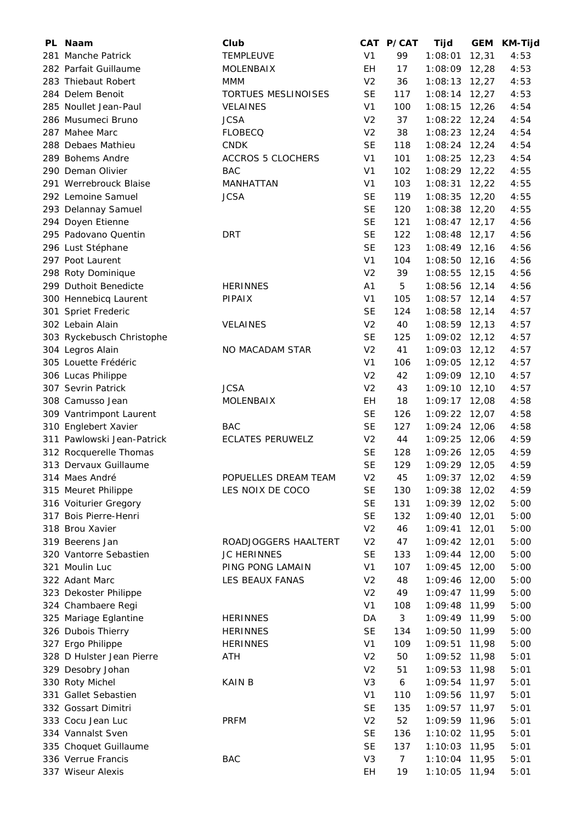| PL Naam                    | Club                     |                 | CAT P/CAT      | Tijd            |        | GEM KM-Tijd |
|----------------------------|--------------------------|-----------------|----------------|-----------------|--------|-------------|
| 281 Manche Patrick         | <b>TEMPLEUVE</b>         | V <sub>1</sub>  | 99             | 1:08:01         | 12,31  | 4:53        |
| 282 Parfait Guillaume      | <b>MOLENBAIX</b>         | EH              | 17             | 1:08:09         | 12,28  | 4:53        |
| 283 Thiebaut Robert        | MMM                      | V <sub>2</sub>  | 36             | $1:08:13$ 12,27 |        | 4:53        |
| 284 Delem Benoit           | TORTUES MESLINOISES      | <b>SE</b>       | 117            | $1:08:14$ 12,27 |        | 4:53        |
| 285 Noullet Jean-Paul      | <b>VELAINES</b>          | V <sub>1</sub>  | 100            | $1:08:15$ 12,26 |        | 4:54        |
| 286 Musumeci Bruno         | <b>JCSA</b>              | V <sub>2</sub>  | 37             | $1:08:22$ 12,24 |        | 4:54        |
| 287 Mahee Marc             | <b>FLOBECQ</b>           | V <sub>2</sub>  | 38             | 1:08:23         | 12,24  | 4:54        |
| 288 Debaes Mathieu         | <b>CNDK</b>              | <b>SE</b>       | 118            | 1:08:24         | 12,24  | 4:54        |
| 289 Bohems Andre           | <b>ACCROS 5 CLOCHERS</b> | V <sub>1</sub>  | 101            | 1:08:25         | 12,23  | 4:54        |
| 290 Deman Olivier          | <b>BAC</b>               | V <sub>1</sub>  | 102            | 1:08:29 12,22   |        | 4:55        |
| 291 Werrebrouck Blaise     | MANHATTAN                | V <sub>1</sub>  | 103            | 1:08:31         | 12,22  | 4:55        |
| 292 Lemoine Samuel         | <b>JCSA</b>              | <b>SE</b>       | 119            | 1:08:35         | 12,20  | 4:55        |
| 293 Delannay Samuel        |                          | <b>SE</b>       | 120            | 1:08:38         | 12,20  | 4:55        |
| 294 Doyen Etienne          |                          | <b>SE</b>       | 121            | $1:08:47$ 12,17 |        | 4:56        |
| 295 Padovano Quentin       | <b>DRT</b>               | <b>SE</b>       | 122            | $1:08:48$ 12,17 |        | 4:56        |
| 296 Lust Stéphane          |                          | <b>SE</b>       | 123            | $1:08:49$ 12,16 |        | 4:56        |
| 297 Poot Laurent           |                          | V <sub>1</sub>  | 104            | 1:08:50         | 12,16  | 4:56        |
| 298 Roty Dominique         |                          | V <sub>2</sub>  | 39             | 1:08:55         | 12,15  | 4:56        |
| 299 Duthoit Benedicte      | <b>HERINNES</b>          | A <sub>1</sub>  | 5              | 1:08:56         | 12,14  | 4:56        |
| 300 Hennebicq Laurent      | PIPAIX                   | V <sub>1</sub>  | 105            | 1:08:57         | 12,14  | 4:57        |
| 301 Spriet Frederic        |                          | <b>SE</b>       | 124            | 1:08:58         | 12,14  | 4:57        |
| 302 Lebain Alain           | <b>VELAINES</b>          | V <sub>2</sub>  | 40             | $1:08:59$ 12,13 |        | 4:57        |
| 303 Ryckebusch Christophe  |                          | <b>SE</b>       | 125            | $1:09:02$ 12,12 |        | 4:57        |
| 304 Legros Alain           | NO MACADAM STAR          | V <sub>2</sub>  | 41             | 1:09:03         | 12,12  | 4:57        |
| 305 Louette Frédéric       |                          | V <sub>1</sub>  | 106            | 1:09:05         | 12, 12 | 4:57        |
| 306 Lucas Philippe         |                          | V <sub>2</sub>  | 42             | $1:09:09$ 12,10 |        | 4:57        |
| 307 Sevrin Patrick         | <b>JCSA</b>              | V <sub>2</sub>  | 43             | 1:09:10         | 12,10  | 4:57        |
| 308 Camusso Jean           | <b>MOLENBAIX</b>         | EH              | 18             | 1:09:17         | 12,08  | 4:58        |
| 309 Vantrimpont Laurent    |                          | <b>SE</b>       | 126            | 1:09:22         | 12,07  | 4:58        |
| 310 Englebert Xavier       | <b>BAC</b>               | <b>SE</b>       | 127            | 1:09:24         | 12,06  | 4:58        |
| 311 Pawlowski Jean-Patrick | <b>ECLATES PERUWELZ</b>  | V <sub>2</sub>  | 44             | 1:09:25         | 12,06  | 4:59        |
| 312 Rocquerelle Thomas     |                          | <b>SE</b>       | 128            | 1:09:26 12,05   |        | 4:59        |
| 313 Dervaux Guillaume      |                          | <b>SE</b>       | 129            | 1:09:29 12,05   |        | 4:59        |
| 314 Maes André             | POPUELLES DREAM TEAM     | V <sub>2</sub>  | 45             | $1:09:37$ 12,02 |        | 4:59        |
| 315 Meuret Philippe        | LES NOIX DE COCO         | <b>SE</b>       | 130            | 1:09:38         | 12,02  | 4:59        |
| 316 Voiturier Gregory      |                          | <b>SE</b>       | 131            | 1:09:39         | 12,02  | 5:00        |
| 317 Bois Pierre-Henri      |                          | <b>SE</b>       | 132            | 1:09:40         | 12,01  | 5:00        |
| 318 Brou Xavier            |                          | V <sub>2</sub>  | 46             | 1:09:41         | 12,01  | 5:00        |
| 319 Beerens Jan            | ROADJOGGERS HAALTERT     | V <sub>2</sub>  | 47             | 1:09:42         | 12,01  | 5:00        |
| 320 Vantorre Sebastien     | <b>JC HERINNES</b>       | <b>SE</b>       | 133            | 1:09:44         | 12,00  | 5:00        |
| 321 Moulin Luc             | PING PONG LAMAIN         | V <sub>1</sub>  | 107            | 1:09:45         | 12,00  | 5:00        |
| 322 Adant Marc             | LES BEAUX FANAS          | V <sub>2</sub>  | 48             | 1:09:46         | 12,00  | 5:00        |
| 323 Dekoster Philippe      |                          | V <sub>2</sub>  | 49             | 1:09:47         | 11,99  | 5:00        |
| 324 Chambaere Regi         |                          | V <sub>1</sub>  | 108            | 1:09:48         | 11,99  | 5:00        |
|                            |                          |                 | $\sqrt{3}$     |                 |        | 5:00        |
| 325 Mariage Eglantine      | <b>HERINNES</b>          | DA<br><b>SE</b> |                | 1:09:49         | 11,99  | 5:00        |
| 326 Dubois Thierry         | <b>HERINNES</b>          | V <sub>1</sub>  | 134<br>109     | 1:09:50         | 11,99  | 5:00        |
| 327 Ergo Philippe          | <b>HERINNES</b>          |                 |                | 1:09:51         | 11,98  | 5:01        |
| 328 D Hulster Jean Pierre  | <b>ATH</b>               | V <sub>2</sub>  | 50             | 1:09:52         | 11,98  |             |
| 329 Desobry Johan          |                          | V <sub>2</sub>  | 51             | 1:09:53         | 11,98  | 5:01        |
| 330 Roty Michel            | KAIN B                   | V <sub>3</sub>  | 6              | 1:09:54         | 11,97  | 5:01        |
| 331 Gallet Sebastien       |                          | V <sub>1</sub>  | 110            | 1:09:56         | 11,97  | 5:01        |
| 332 Gossart Dimitri        |                          | <b>SE</b>       | 135            | 1:09:57         | 11,97  | 5:01        |
| 333 Cocu Jean Luc          | <b>PRFM</b>              | V <sub>2</sub>  | 52             | 1:09:59         | 11,96  | 5:01        |
| 334 Vannalst Sven          |                          | <b>SE</b>       | 136            | 1:10:02         | 11,95  | 5:01        |
| 335 Choquet Guillaume      |                          | <b>SE</b>       | 137            | 1:10:03         | 11,95  | 5:01        |
| 336 Verrue Francis         | <b>BAC</b>               | V <sub>3</sub>  | $\overline{7}$ | 1:10:04         | 11,95  | 5:01        |
| 337 Wiseur Alexis          |                          | EH              | 19             | 1:10:05         | 11,94  | 5:01        |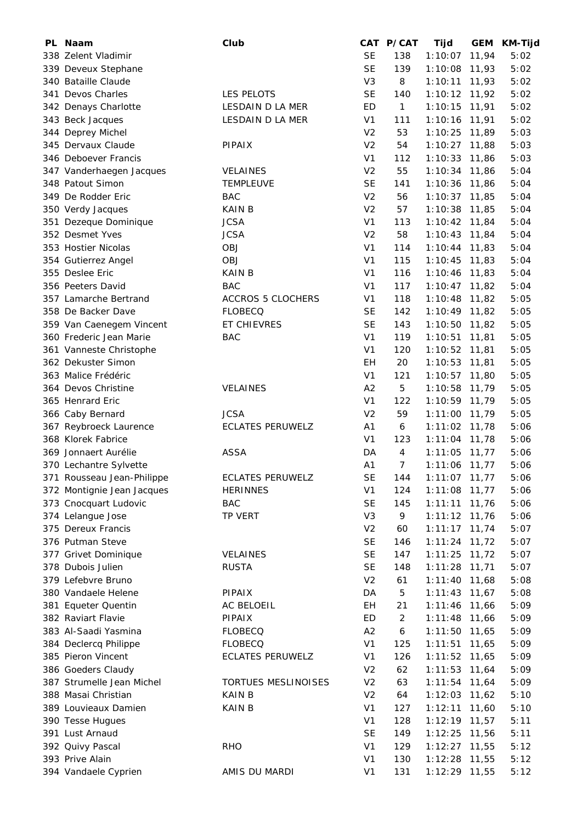| PL Naam                                      | Club                    |                | CAT P/CAT      | <b>Tijd</b>     |       | GEM KM-Tijd  |
|----------------------------------------------|-------------------------|----------------|----------------|-----------------|-------|--------------|
| 338 Zelent Vladimir                          |                         | <b>SE</b>      | 138            | 1:10:07         | 11,94 | 5:02         |
| 339 Deveux Stephane                          |                         | <b>SE</b>      | 139            | 1:10:08         | 11,93 | 5:02         |
| 340 Bataille Claude                          |                         | V <sub>3</sub> | 8              | 1:10:11         | 11,93 | 5:02         |
| 341 Devos Charles                            | LES PELOTS              | <b>SE</b>      | 140            | 1:10:12         | 11,92 | 5:02         |
| 342 Denays Charlotte                         | LESDAIN D LA MER        | ED             | $\mathbf{1}$   | 1:10:15         | 11,91 | 5:02         |
| 343 Beck Jacques                             | LESDAIN D LA MER        | V <sub>1</sub> | 111            | 1:10:16         | 11,91 | 5:02         |
| 344 Deprey Michel                            |                         | V <sub>2</sub> | 53             | 1:10:25         | 11,89 | 5:03         |
| 345 Dervaux Claude                           | PIPAIX                  | V <sub>2</sub> | 54             | 1:10:27         | 11,88 | 5:03         |
| 346 Deboever Francis                         |                         | V <sub>1</sub> | 112            | 1:10:33         | 11,86 | 5:03         |
| 347 Vanderhaegen Jacques                     | VELAINES                | V <sub>2</sub> | 55             | 1:10:34 11,86   |       | 5:04         |
| 348 Patout Simon                             | <b>TEMPLEUVE</b>        | <b>SE</b>      | 141            | 1:10:36         | 11,86 | 5:04         |
| 349 De Rodder Eric                           | <b>BAC</b>              | V <sub>2</sub> | 56             | 1:10:37         | 11,85 | 5:04         |
| 350 Verdy Jacques                            | <b>KAIN B</b>           | V <sub>2</sub> | 57             | 1:10:38         | 11,85 | 5:04         |
| 351 Dezeque Dominique                        | <b>JCSA</b>             | V <sub>1</sub> | 113            | $1:10:42$ 11,84 |       | 5:04         |
| 352 Desmet Yves                              | <b>JCSA</b>             | V <sub>2</sub> | 58             | $1:10:43$ 11,84 |       | 5:04         |
| 353 Hostier Nicolas                          | <b>OBJ</b>              | V <sub>1</sub> | 114            | $1:10:44$ 11,83 |       | 5:04         |
| 354 Gutierrez Angel                          | <b>OBJ</b>              | V <sub>1</sub> | 115            | 1:10:45         | 11,83 | 5:04         |
| 355 Deslee Eric                              | <b>KAIN B</b>           | V <sub>1</sub> | 116            | 1:10:46         | 11,83 | 5:04         |
| 356 Peeters David                            | <b>BAC</b>              | V <sub>1</sub> | 117            | 1:10:47         | 11,82 | 5:04         |
| 357 Lamarche Bertrand                        | ACCROS 5 CLOCHERS       | V <sub>1</sub> | 118            | 1:10:48         | 11,82 | 5:05         |
| 358 De Backer Dave                           | <b>FLOBECQ</b>          | <b>SE</b>      | 142            | 1:10:49 11,82   |       | 5:05         |
| 359 Van Caenegem Vincent                     | ET CHIEVRES             | <b>SE</b>      | 143            | 1:10:50         | 11,82 | 5:05         |
| 360 Frederic Jean Marie                      | <b>BAC</b>              | V <sub>1</sub> | 119            | 1:10:51         | 11,81 | 5:05         |
| 361 Vanneste Christophe                      |                         | V <sub>1</sub> | 120            | 1:10:52         | 11,81 | 5:05         |
| 362 Dekuster Simon                           |                         | EH             | 20             | 1:10:53         | 11,81 | 5:05         |
| 363 Malice Frédéric                          |                         | V <sub>1</sub> | 121            | 1:10:57         | 11,80 | 5:05         |
| 364 Devos Christine                          | VELAINES                | A2             | 5              | 1:10:58         | 11,79 | 5:05         |
| 365 Henrard Eric                             |                         | V <sub>1</sub> | 122            | 1:10:59 11,79   |       | 5:05         |
|                                              | <b>JCSA</b>             | V <sub>2</sub> | 59             | 1:11:00         | 11,79 | 5:05         |
| 366 Caby Bernard                             |                         |                |                |                 |       |              |
| 367 Reybroeck Laurence<br>368 Klorek Fabrice | <b>ECLATES PERUWELZ</b> | A <sub>1</sub> | 6              | 1:11:02         | 11,78 | 5:06         |
|                                              |                         | V <sub>1</sub> | 123            | 1:11:04         | 11,78 | 5:06         |
| 369 Jonnaert Aurélie                         | <b>ASSA</b>             | DA             | 4              | $1:11:05$ 11,77 |       | 5:06         |
| 370 Lechantre Sylvette                       |                         | A1             | $\overline{7}$ | $1:11:06$ 11,77 |       | 5:06         |
| 371 Rousseau Jean-Philippe                   | <b>ECLATES PERUWELZ</b> | <b>SE</b>      | 144            | $1:11:07$ 11,77 |       | 5:06         |
| 372 Montignie Jean Jacques                   | <b>HERINNES</b>         | V <sub>1</sub> | 124            | 1:11:08         | 11,77 | 5:06         |
| 373 Cnocquart Ludovic                        | <b>BAC</b>              | <b>SE</b>      | 145            | 1:11:11         | 11,76 | 5:06<br>5:06 |
| 374 Lelangue Jose                            | TP VERT                 | V <sub>3</sub> | 9              | 1:11:12         | 11,76 |              |
| 375 Dereux Francis                           |                         | V <sub>2</sub> | 60             | 1:11:17         | 11,74 | 5:07         |
| 376 Putman Steve                             |                         | <b>SE</b>      | 146            | 1:11:24         | 11,72 | 5:07         |
| 377 Grivet Dominique                         | <b>VELAINES</b>         | <b>SE</b>      | 147            | 1:11:25         | 11,72 | 5:07         |
| 378 Dubois Julien                            | <b>RUSTA</b>            | <b>SE</b>      | 148            | 1:11:28         | 11,71 | 5:07         |
| 379 Lefebvre Bruno                           |                         | V <sub>2</sub> | 61             | 1:11:40         | 11,68 | 5:08         |
| 380 Vandaele Helene                          | PIPAIX                  | DA             | 5              | 1:11:43         | 11,67 | 5:08         |
| 381 Equeter Quentin                          | AC BELOEIL              | EH             | 21             | 1:11:46         | 11,66 | 5:09         |
| 382 Raviart Flavie                           | PIPAIX                  | ED             | $\overline{c}$ | 1:11:48         | 11,66 | 5:09         |
| 383 Al-Saadi Yasmina                         | <b>FLOBECQ</b>          | A2             | 6              | 1:11:50         | 11,65 | 5:09         |
| 384 Declercq Philippe                        | <b>FLOBECQ</b>          | V <sub>1</sub> | 125            | 1:11:51         | 11,65 | 5:09         |
| 385 Pieron Vincent                           | <b>ECLATES PERUWELZ</b> | V <sub>1</sub> | 126            | 1:11:52         | 11,65 | 5:09         |
| 386 Goeders Claudy                           |                         | V <sub>2</sub> | 62             | 1:11:53         | 11,64 | 5:09         |
| 387 Strumelle Jean Michel                    | TORTUES MESLINOISES     | V <sub>2</sub> | 63             | 1:11:54         | 11,64 | 5:09         |
| 388 Masai Christian                          | <b>KAIN B</b>           | V <sub>2</sub> | 64             | 1:12:03         | 11,62 | 5:10         |
| 389 Louvieaux Damien                         | KAIN B                  | V <sub>1</sub> | 127            | 1:12:11         | 11,60 | 5:10         |
| 390 Tesse Hugues                             |                         | V <sub>1</sub> | 128            | 1:12:19         | 11,57 | 5:11         |
| 391 Lust Arnaud                              |                         | <b>SE</b>      | 149            | 1:12:25         | 11,56 | 5:11         |
| 392 Quivy Pascal                             | <b>RHO</b>              | V <sub>1</sub> | 129            | 1:12:27         | 11,55 | 5:12         |
| 393 Prive Alain                              |                         | V <sub>1</sub> | 130            | 1:12:28         | 11,55 | 5:12         |
| 394 Vandaele Cyprien                         | AMIS DU MARDI           | V <sub>1</sub> | 131            | 1:12:29         | 11,55 | 5:12         |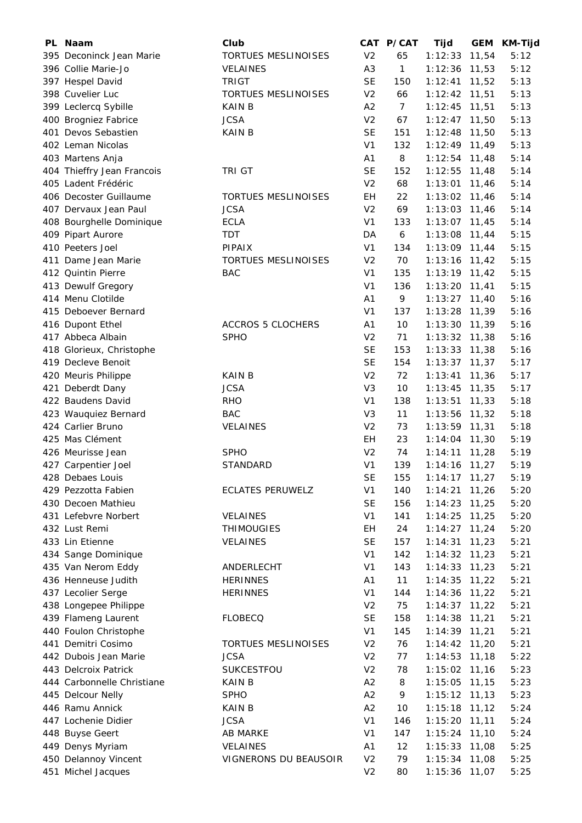| PL. | Naam                       | Club                       |                | CAT P/CAT        | Tijd            | <b>GEM</b> | <b>KM-Tijd</b> |
|-----|----------------------------|----------------------------|----------------|------------------|-----------------|------------|----------------|
|     | 395 Deconinck Jean Marie   | <b>TORTUES MESLINOISES</b> | V <sub>2</sub> | 65               | 1:12:33         | 11,54      | 5:12           |
|     | 396 Collie Marie-Jo        | <b>VELAINES</b>            | A3             | $\mathbf{1}$     | 1:12:36         | 11,53      | 5:12           |
|     | 397 Hespel David           | <b>TRIGT</b>               | <b>SE</b>      | 150              | 1:12:41         | 11,52      | 5:13           |
|     | 398 Cuvelier Luc           | TORTUES MESLINOISES        | V <sub>2</sub> | 66               | 1:12:42         | 11,51      | 5:13           |
|     | 399 Leclercq Sybille       | <b>KAIN B</b>              | A2             | $\overline{7}$   | 1:12:45         | 11,51      | 5:13           |
|     | 400 Brogniez Fabrice       | <b>JCSA</b>                | V <sub>2</sub> | 67               | 1:12:47         | 11,50      | 5:13           |
|     | 401 Devos Sebastien        | <b>KAINB</b>               | <b>SE</b>      | 151              | 1:12:48         | 11,50      | 5:13           |
|     | 402 Leman Nicolas          |                            | V <sub>1</sub> | 132              | 1:12:49         | 11,49      | 5:13           |
|     | 403 Martens Anja           |                            | A <sub>1</sub> | 8                | 1:12:54         | 11,48      | 5:14           |
|     | 404 Thieffry Jean Francois | <b>TRI GT</b>              | <b>SE</b>      | 152              | 1:12:55         | 11,48      | 5:14           |
|     | 405 Ladent Frédéric        |                            | V <sub>2</sub> | 68               | 1:13:01         | 11,46      | 5:14           |
|     | 406 Decoster Guillaume     | <b>TORTUES MESLINOISES</b> | EH             | 22               | 1:13:02         | 11,46      | 5:14           |
|     | 407 Dervaux Jean Paul      | <b>JCSA</b>                | V <sub>2</sub> | 69               | 1:13:03         | 11,46      | 5:14           |
|     |                            | <b>ECLA</b>                | V <sub>1</sub> | 133              |                 |            | 5:14           |
|     | 408 Bourghelle Dominique   |                            |                |                  | 1:13:07         | 11,45      |                |
|     | 409 Pipart Aurore          | TDT                        | DA             | $\boldsymbol{6}$ | 1:13:08         | 11,44      | 5:15           |
|     | 410 Peeters Joel           | <b>PIPAIX</b>              | V <sub>1</sub> | 134              | $1:13:09$ 11,44 |            | 5:15           |
|     | 411 Dame Jean Marie        | <b>TORTUES MESLINOISES</b> | V <sub>2</sub> | 70               | 1:13:16         | 11,42      | 5:15           |
|     | 412 Quintin Pierre         | <b>BAC</b>                 | V <sub>1</sub> | 135              | $1:13:19$ 11,42 |            | 5:15           |
|     | 413 Dewulf Gregory         |                            | V <sub>1</sub> | 136              | 1:13:20         | 11,41      | 5:15           |
|     | 414 Menu Clotilde          |                            | A <sub>1</sub> | 9                | 1:13:27         | 11,40      | 5:16           |
|     | 415 Deboever Bernard       |                            | V <sub>1</sub> | 137              | 1:13:28         | 11,39      | 5:16           |
|     | 416 Dupont Ethel           | <b>ACCROS 5 CLOCHERS</b>   | A1             | 10               | 1:13:30         | 11,39      | 5:16           |
|     | 417 Abbeca Albain          | <b>SPHO</b>                | V <sub>2</sub> | 71               | 1:13:32         | 11,38      | 5:16           |
|     | 418 Glorieux, Christophe   |                            | <b>SE</b>      | 153              | 1:13:33         | 11,38      | 5:16           |
|     | 419 Decleve Benoit         |                            | <b>SE</b>      | 154              | 1:13:37         | 11,37      | 5:17           |
|     | 420 Meuris Philippe        | <b>KAIN B</b>              | V <sub>2</sub> | 72               | 1:13:41         | 11,36      | 5:17           |
|     | 421 Deberdt Dany           | <b>JCSA</b>                | V <sub>3</sub> | 10               | 1:13:45         | 11,35      | 5:17           |
|     | 422 Baudens David          | <b>RHO</b>                 | V <sub>1</sub> | 138              | 1:13:51         | 11,33      | 5:18           |
|     | 423 Wauquiez Bernard       | <b>BAC</b>                 | V <sub>3</sub> | 11               | 1:13:56         | 11,32      | 5:18           |
|     | 424 Carlier Bruno          | <b>VELAINES</b>            | V <sub>2</sub> | 73               | 1:13:59         | 11,31      | 5:18           |
|     | 425 Mas Clément            |                            | EH             | 23               | 1:14:04         | 11,30      | 5:19           |
|     | 426 Meurisse Jean          | <b>SPHO</b>                | V <sub>2</sub> | 74               | 1:14:11         | 11,28      | 5:19           |
|     | 427 Carpentier Joel        | <b>STANDARD</b>            | V <sub>1</sub> | 139              | 1:14:16 11,27   |            | 5:19           |
|     | 428 Debaes Louis           |                            | SE             | 155              | $1:14:17$ 11,27 |            | 5:19           |
|     | 429 Pezzotta Fabien        | <b>ECLATES PERUWELZ</b>    | V <sub>1</sub> | 140              | 1:14:21         | 11,26      | 5:20           |
|     | 430 Decoen Mathieu         |                            | <b>SE</b>      | 156              | 1:14:23         | 11,25      | 5:20           |
|     | 431 Lefebvre Norbert       | <b>VELAINES</b>            | V <sub>1</sub> | 141              | 1:14:25         | 11,25      | 5:20           |
|     | 432 Lust Remi              | <b>THIMOUGIES</b>          | EH             | 24               | 1:14:27         | 11,24      | 5:20           |
|     | 433 Lin Etienne            | VELAINES                   | <b>SE</b>      | 157              | 1:14:31         | 11,23      | 5:21           |
|     | 434 Sange Dominique        |                            | V <sub>1</sub> | 142              | 1:14:32         | 11,23      | 5:21           |
|     | 435 Van Nerom Eddy         | ANDERLECHT                 | V <sub>1</sub> | 143              | 1:14:33         | 11,23      | 5:21           |
|     | 436 Henneuse Judith        | <b>HERINNES</b>            | A <sub>1</sub> | 11               | 1:14:35         | 11,22      | 5:21           |
|     | 437 Lecolier Serge         | <b>HERINNES</b>            | V <sub>1</sub> | 144              | 1:14:36         | 11,22      | 5:21           |
|     | 438 Longepee Philippe      |                            | V <sub>2</sub> | 75               | 1:14:37         | 11,22      | 5:21           |
|     | 439 Flameng Laurent        | <b>FLOBECQ</b>             | <b>SE</b>      | 158              | 1:14:38         | 11,21      | 5:21           |
|     | 440 Foulon Christophe      |                            | V <sub>1</sub> | 145              | 1:14:39         | 11,21      | 5:21           |
|     | 441 Demitri Cosimo         | TORTUES MESLINOISES        | V <sub>2</sub> | 76               | 1:14:42         | 11,20      | 5:21           |
|     | 442 Dubois Jean Marie      | <b>JCSA</b>                | V <sub>2</sub> | 77               | 1:14:53         | 11,18      | 5:22           |
|     | 443 Delcroix Patrick       | <b>SUKCESTFOU</b>          | V <sub>2</sub> | 78               | 1:15:02         | 11,16      | 5:23           |
|     | 444 Carbonnelle Christiane | KAIN B                     | A2             | 8                | 1:15:05         | 11,15      | 5:23           |
|     | 445 Delcour Nelly          | <b>SPHO</b>                | A2             | 9                | 1:15:12         | 11,13      | 5:23           |
|     | 446 Ramu Annick            | <b>KAIN B</b>              | A2             | 10               | $1:15:18$ 11,12 |            | 5:24           |
|     | 447 Lochenie Didier        | <b>JCSA</b>                | V <sub>1</sub> | 146              | 1:15:20         | 11,11      | 5:24           |
|     | 448 Buyse Geert            | <b>AB MARKE</b>            | V <sub>1</sub> | 147              | 1:15:24         | 11,10      | 5:24           |
|     | 449 Denys Myriam           | <b>VELAINES</b>            | A <sub>1</sub> | 12               | 1:15:33         | 11,08      | 5:25           |
|     | 450 Delannoy Vincent       | VIGNERONS DU BEAUSOIR      | V <sub>2</sub> | 79               | 1:15:34         | 11,08      | 5:25           |
|     | 451 Michel Jacques         |                            | V <sub>2</sub> | 80               | 1:15:36         | 11,07      | 5:25           |
|     |                            |                            |                |                  |                 |            |                |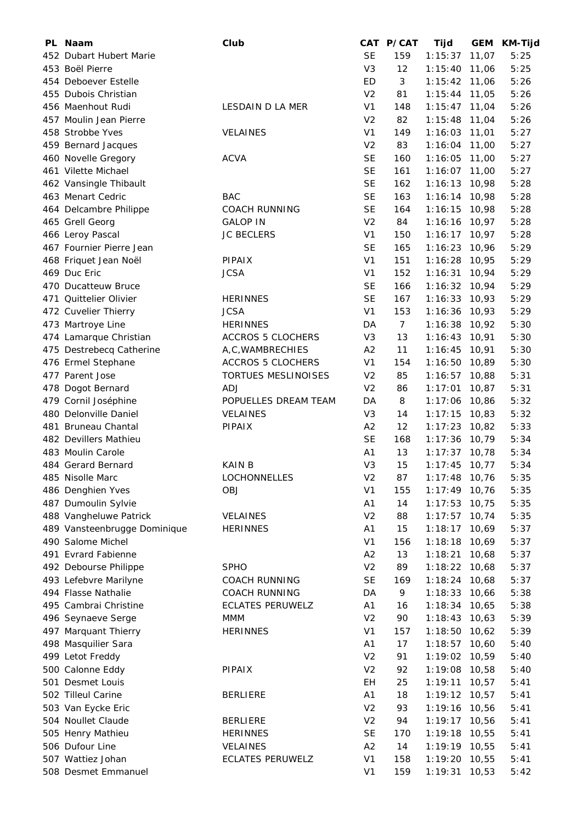| PL. | Naam                         | Club                     |                | CAT P/CAT      | Tijd            | <b>GEM</b> | <b>KM-Tijd</b> |
|-----|------------------------------|--------------------------|----------------|----------------|-----------------|------------|----------------|
|     | 452 Dubart Hubert Marie      |                          | <b>SE</b>      | 159            | 1:15:37         | 11,07      | 5:25           |
|     | 453 Boël Pierre              |                          | V <sub>3</sub> | 12             | 1:15:40         | 11,06      | 5:25           |
|     | 454 Deboever Estelle         |                          | ED             | 3              | 1:15:42         | 11,06      | 5:26           |
|     | 455 Dubois Christian         |                          | V <sub>2</sub> | 81             | 1:15:44         | 11,05      | 5:26           |
|     | 456 Maenhout Rudi            | LESDAIN D LA MER         | V <sub>1</sub> | 148            | 1:15:47         | 11,04      | 5:26           |
|     | 457 Moulin Jean Pierre       |                          | V <sub>2</sub> | 82             | 1:15:48         | 11,04      | 5:26           |
|     | 458 Strobbe Yves             | VELAINES                 | V <sub>1</sub> | 149            | 1:16:03         | 11,01      | 5:27           |
|     | 459 Bernard Jacques          |                          | V <sub>2</sub> | 83             | 1:16:04         | 11,00      | 5:27           |
|     | 460 Novelle Gregory          | <b>ACVA</b>              | <b>SE</b>      | 160            | 1:16:05         | 11,00      | 5:27           |
|     | 461 Vilette Michael          |                          | <b>SE</b>      | 161            | 1:16:07         | 11,00      | 5:27           |
|     | 462 Vansingle Thibault       |                          | <b>SE</b>      | 162            | 1:16:13         | 10,98      | 5:28           |
|     | 463 Menart Cedric            | <b>BAC</b>               | <b>SE</b>      | 163            | 1:16:14         | 10,98      | 5:28           |
|     | 464 Delcambre Philippe       | <b>COACH RUNNING</b>     | <b>SE</b>      | 164            | 1:16:15         | 10,98      | 5:28           |
|     | 465 Grell Georg              | <b>GALOP IN</b>          | V <sub>2</sub> | 84             | 1:16:16         | 10,97      | 5:28           |
|     | 466 Leroy Pascal             | <b>JC BECLERS</b>        | V <sub>1</sub> | 150            | 1:16:17         | 10,97      | 5:28           |
|     | 467 Fournier Pierre Jean     |                          | <b>SE</b>      | 165            | 1:16:23         | 10,96      | 5:29           |
|     | 468 Friquet Jean Noël        | PIPAIX                   | V <sub>1</sub> | 151            | 1:16:28         | 10,95      | 5:29           |
|     | 469 Duc Eric                 | <b>JCSA</b>              | V <sub>1</sub> | 152            | 1:16:31         | 10,94      | 5:29           |
|     | 470 Ducatteuw Bruce          |                          | <b>SE</b>      | 166            | 1:16:32         | 10,94      | 5:29           |
|     | 471 Quittelier Olivier       | <b>HERINNES</b>          | <b>SE</b>      | 167            | 1:16:33         | 10,93      | 5:29           |
|     | 472 Cuvelier Thierry         | <b>JCSA</b>              | V <sub>1</sub> | 153            | 1:16:36         | 10,93      | 5:29           |
|     | 473 Martroye Line            | <b>HERINNES</b>          | DA             | $\overline{7}$ | 1:16:38         | 10,92      | 5:30           |
|     | 474 Lamarque Christian       | <b>ACCROS 5 CLOCHERS</b> | V <sub>3</sub> | 13             | 1:16:43         | 10,91      | 5:30           |
|     | 475 Destrebecq Catherine     | A,C, WAMBRECHIES         | A2             | 11             | 1:16:45         | 10,91      | 5:30           |
|     | 476 Ermel Stephane           | <b>ACCROS 5 CLOCHERS</b> | V <sub>1</sub> | 154            | 1:16:50         | 10,89      | 5:30           |
|     | 477 Parent Jose              | TORTUES MESLINOISES      | V <sub>2</sub> | 85             | 1:16:57         | 10,88      | 5:31           |
|     | 478 Dogot Bernard            | <b>ADJ</b>               | V <sub>2</sub> | 86             | 1:17:01         | 10,87      | 5:31           |
|     | 479 Cornil Joséphine         | POPUELLES DREAM TEAM     | DA             | 8              | 1:17:06         | 10,86      | 5:32           |
|     | 480 Delonville Daniel        | VELAINES                 | V <sub>3</sub> | 14             | 1:17:15         | 10,83      | 5:32           |
|     | 481 Bruneau Chantal          | PIPAIX                   | A2             | 12             | 1:17:23         | 10,82      | 5:33           |
|     | 482 Devillers Mathieu        |                          | <b>SE</b>      | 168            | 1:17:36         | 10,79      | 5:34           |
|     | 483 Moulin Carole            |                          | A <sub>1</sub> | 13             | 1:17:37         | 10,78      | 5:34           |
|     | 484 Gerard Bernard           | <b>KAIN B</b>            | V <sub>3</sub> | 15             | $1:17:45$ 10,77 |            | 5:34           |
|     | 485 Nisolle Marc             | <b>LOCHONNELLES</b>      | V2             | 87             | 1:17:48         | 10,76      | 5:35           |
|     | 486 Denghien Yves            | <b>OBJ</b>               | V <sub>1</sub> | 155            | 1:17:49         | 10,76      | 5:35           |
|     | 487 Dumoulin Sylvie          |                          | A <sub>1</sub> | 14             | 1:17:53         | 10,75      | 5:35           |
|     | 488 Vangheluwe Patrick       | VELAINES                 | V <sub>2</sub> | 88             | 1:17:57         | 10,74      | 5:35           |
|     | 489 Vansteenbrugge Dominique | <b>HERINNES</b>          | A <sub>1</sub> | 15             | 1:18:17         | 10,69      | 5:37           |
|     | 490 Salome Michel            |                          | V <sub>1</sub> | 156            | 1:18:18         | 10,69      | 5:37           |
|     | 491 Evrard Fabienne          |                          | A2             | 13             | 1:18:21         | 10,68      | 5:37           |
|     | 492 Debourse Philippe        | <b>SPHO</b>              | V <sub>2</sub> | 89             | 1:18:22         | 10,68      | 5:37           |
|     | 493 Lefebvre Marilyne        | <b>COACH RUNNING</b>     | <b>SE</b>      | 169            | 1:18:24         | 10,68      | 5:37           |
|     | 494 Flasse Nathalie          | <b>COACH RUNNING</b>     | DA             | 9              | 1:18:33         | 10,66      | 5:38           |
|     | 495 Cambrai Christine        | <b>ECLATES PERUWELZ</b>  | A <sub>1</sub> | 16             | 1:18:34         | 10,65      | 5:38           |
|     | 496 Seynaeve Serge           | MMM                      | V <sub>2</sub> | 90             | 1:18:43         | 10,63      | 5:39           |
|     | 497 Marquant Thierry         | <b>HERINNES</b>          | V <sub>1</sub> | 157            | 1:18:50         | 10,62      | 5:39           |
|     | 498 Masquilier Sara          |                          | A <sub>1</sub> | 17             | 1:18:57         | 10,60      | 5:40           |
|     | 499 Letot Freddy             |                          | V <sub>2</sub> | 91             | 1:19:02         | 10,59      | 5:40           |
|     | 500 Calonne Eddy             | PIPAIX                   | V <sub>2</sub> | 92             | 1:19:08         | 10,58      | 5:40           |
|     | 501 Desmet Louis             |                          | EH             | 25             | 1:19:11         | 10,57      | 5:41           |
|     | 502 Tilleul Carine           | <b>BERLIERE</b>          | A <sub>1</sub> | 18             | 1:19:12 10,57   |            | 5:41           |
|     | 503 Van Eycke Eric           |                          | V <sub>2</sub> | 93             | 1:19:16         | 10,56      | 5:41           |
|     | 504 Noullet Claude           | <b>BERLIERE</b>          | V <sub>2</sub> | 94             | 1:19:17         | 10,56      | 5:41           |
|     | 505 Henry Mathieu            | <b>HERINNES</b>          | <b>SE</b>      | 170            | 1:19:18         | 10,55      | 5:41           |
|     | 506 Dufour Line              | <b>VELAINES</b>          | A2             | 14             | 1:19:19         | 10,55      | 5:41           |
|     | 507 Wattiez Johan            | <b>ECLATES PERUWELZ</b>  | V <sub>1</sub> | 158            | 1:19:20         | 10,55      | 5:41           |
|     | 508 Desmet Emmanuel          |                          | V <sub>1</sub> | 159            | $1:19:31$ 10,53 |            | 5:42           |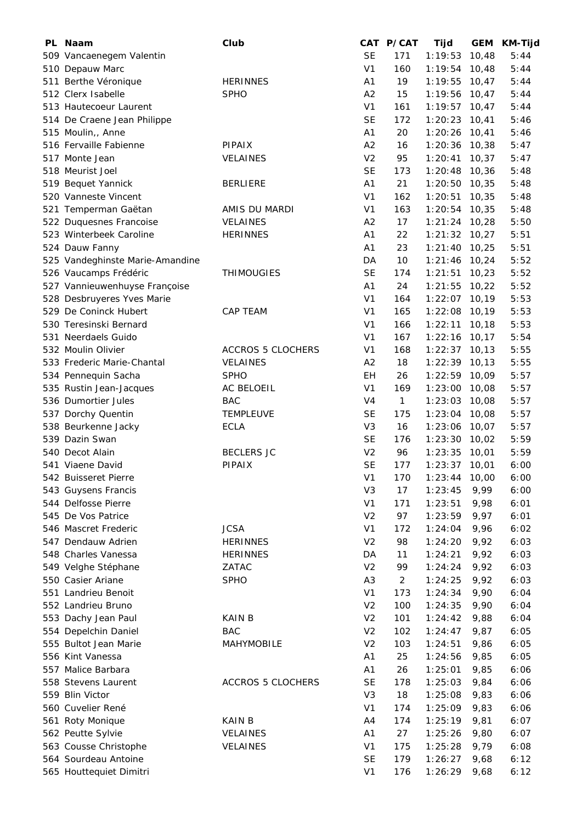| PL Naam                         | Club                     |                | CAT P/CAT      | Tijd            |        | GEM KM-Tijd |
|---------------------------------|--------------------------|----------------|----------------|-----------------|--------|-------------|
| 509 Vancaenegem Valentin        |                          | <b>SE</b>      | 171            | 1:19:53         | 10,48  | 5:44        |
| 510 Depauw Marc                 |                          | V <sub>1</sub> | 160            | 1:19:54         | 10,48  | 5:44        |
| 511 Berthe Véronique            | <b>HERINNES</b>          | A1             | 19             | 1:19:55         | 10,47  | 5:44        |
| 512 Clerx Isabelle              | <b>SPHO</b>              | A2             | 15             | 1:19:56         | 10,47  | 5:44        |
| 513 Hautecoeur Laurent          |                          | V <sub>1</sub> | 161            | 1:19:57         | 10,47  | 5:44        |
| 514 De Craene Jean Philippe     |                          | <b>SE</b>      | 172            | 1:20:23         | 10,41  | 5:46        |
| 515 Moulin,, Anne               |                          | A <sub>1</sub> | 20             | 1:20:26         | 10,41  | 5:46        |
| 516 Fervaille Fabienne          | PIPAIX                   | A2             | 16             | 1:20:36         | 10,38  | 5:47        |
| 517 Monte Jean                  | <b>VELAINES</b>          | V <sub>2</sub> | 95             | 1:20:41         | 10,37  | 5:47        |
| 518 Meurist Joel                |                          | <b>SE</b>      | 173            | 1:20:48         | 10,36  | 5:48        |
| 519 Bequet Yannick              | <b>BERLIERE</b>          | A <sub>1</sub> | 21             | 1:20:50         | 10,35  | 5:48        |
| 520 Vanneste Vincent            |                          | V <sub>1</sub> | 162            | 1:20:51         | 10,35  | 5:48        |
| 521 Temperman Gaëtan            | AMIS DU MARDI            | V <sub>1</sub> | 163            | 1:20:54         | 10,35  | 5:48        |
| 522 Duquesnes Francoise         | <b>VELAINES</b>          | A2             | 17             | 1:21:24         | 10,28  | 5:50        |
| 523 Winterbeek Caroline         | <b>HERINNES</b>          | A <sub>1</sub> | 22             | 1:21:32         | 10,27  | 5:51        |
| 524 Dauw Fanny                  |                          | A <sub>1</sub> | 23             | 1:21:40         | 10,25  | 5:51        |
| 525 Vandeghinste Marie-Amandine |                          | DA             | 10             | 1:21:46         | 10,24  | 5:52        |
| 526 Vaucamps Frédéric           | <b>THIMOUGIES</b>        | <b>SE</b>      | 174            | 1:21:51         | 10,23  | 5:52        |
| 527 Vannieuwenhuyse Françoise   |                          | A <sub>1</sub> | 24             | 1:21:55         | 10,22  | 5:52        |
| 528 Desbruyeres Yves Marie      |                          | V <sub>1</sub> | 164            | 1:22:07         | 10, 19 | 5:53        |
| 529 De Coninck Hubert           | <b>CAP TEAM</b>          | V <sub>1</sub> | 165            | 1:22:08         | 10,19  | 5:53        |
| 530 Teresinski Bernard          |                          | V <sub>1</sub> | 166            | 1:22:11         | 10, 18 | 5:53        |
| 531 Neerdaels Guido             |                          | V <sub>1</sub> | 167            | 1:22:16         | 10,17  | 5:54        |
| 532 Moulin Olivier              | <b>ACCROS 5 CLOCHERS</b> | V <sub>1</sub> | 168            | 1:22:37         | 10, 13 | 5:55        |
| 533 Frederic Marie-Chantal      | <b>VELAINES</b>          | A2             | 18             | 1:22:39         | 10, 13 | 5:55        |
| 534 Pennequin Sacha             | <b>SPHO</b>              | EH             | 26             | 1:22:59         | 10,09  | 5:57        |
| 535 Rustin Jean-Jacques         | AC BELOEIL               | V <sub>1</sub> | 169            | 1:23:00         | 10,08  | 5:57        |
| 536 Dumortier Jules             | <b>BAC</b>               | V <sub>4</sub> | 1              | 1:23:03         | 10,08  | 5:57        |
| 537 Dorchy Quentin              | <b>TEMPLEUVE</b>         | <b>SE</b>      | 175            | 1:23:04         | 10,08  | 5:57        |
| 538 Beurkenne Jacky             | <b>ECLA</b>              | V <sub>3</sub> | 16             | 1:23:06         | 10,07  | 5:57        |
| 539 Dazin Swan                  |                          | <b>SE</b>      | 176            | 1:23:30         | 10,02  | 5:59        |
| 540 Decot Alain                 | <b>BECLERS JC</b>        | V <sub>2</sub> | 96             | 1:23:35         | 10,01  | 5:59        |
| 541 Viaene David                | PIPAIX                   | <b>SE</b>      | 177            | $1:23:37$ 10,01 |        | 6:00        |
| 542 Buisseret Pierre            |                          | V <sub>1</sub> | 170            | 1:23:44 10,00   |        | 6:00        |
| 543 Guysens Francis             |                          | V <sub>3</sub> | 17             | 1:23:45         | 9,99   | 6:00        |
| 544 Delfosse Pierre             |                          | V <sub>1</sub> | 171            | 1:23:51         | 9,98   | 6:01        |
| 545 De Vos Patrice              |                          | V <sub>2</sub> | 97             | 1:23:59         | 9,97   | 6:01        |
| 546 Mascret Frederic            | <b>JCSA</b>              | V <sub>1</sub> | 172            | 1:24:04         | 9,96   | 6:02        |
| 547 Dendauw Adrien              | <b>HERINNES</b>          | V <sub>2</sub> | 98             | 1:24:20         | 9,92   | 6:03        |
| 548 Charles Vanessa             | <b>HERINNES</b>          | DA             | 11             | 1:24:21         | 9,92   | 6:03        |
| 549 Velghe Stéphane             | ZATAC                    | V <sub>2</sub> | 99             | 1:24:24         | 9,92   | 6:03        |
| 550 Casier Ariane               | <b>SPHO</b>              | A <sub>3</sub> | $\overline{c}$ | 1:24:25         | 9,92   | 6:03        |
| 551 Landrieu Benoit             |                          | V <sub>1</sub> | 173            | 1:24:34         | 9,90   | 6:04        |
| 552 Landrieu Bruno              |                          | V <sub>2</sub> | 100            | 1:24:35         | 9,90   | 6:04        |
| 553 Dachy Jean Paul             | <b>KAIN B</b>            | V <sub>2</sub> | 101            | 1:24:42         | 9,88   | 6:04        |
| 554 Depelchin Daniel            | <b>BAC</b>               | V <sub>2</sub> | 102            | 1:24:47         | 9,87   | 6:05        |
| 555 Bultot Jean Marie           | <b>MAHYMOBILE</b>        | V <sub>2</sub> | 103            | 1:24:51         | 9,86   | 6:05        |
| 556 Kint Vanessa                |                          | A <sub>1</sub> | 25             | 1:24:56         | 9,85   | 6:05        |
| 557 Malice Barbara              |                          | A <sub>1</sub> | 26             | 1:25:01         | 9,85   | 6:06        |
| 558 Stevens Laurent             | <b>ACCROS 5 CLOCHERS</b> | <b>SE</b>      | 178            | 1:25:03         | 9,84   | 6:06        |
| 559 Blin Victor                 |                          | V <sub>3</sub> | 18             | 1:25:08         | 9,83   | 6:06        |
| 560 Cuvelier René               |                          | V <sub>1</sub> | 174            | 1:25:09         | 9,83   | 6:06        |
| 561 Roty Monique                | <b>KAINB</b>             | A4             | 174            | 1:25:19         | 9,81   | 6:07        |
| 562 Peutte Sylvie               | <b>VELAINES</b>          | A <sub>1</sub> | 27             | 1:25:26         | 9,80   | 6:07        |
| 563 Cousse Christophe           | <b>VELAINES</b>          | V <sub>1</sub> | 175            | 1:25:28         | 9,79   | 6:08        |
| 564 Sourdeau Antoine            |                          | <b>SE</b>      | 179            | 1:26:27         | 9,68   | 6:12        |
| 565 Houttequiet Dimitri         |                          | V <sub>1</sub> | 176            | 1:26:29         | 9,68   | 6:12        |